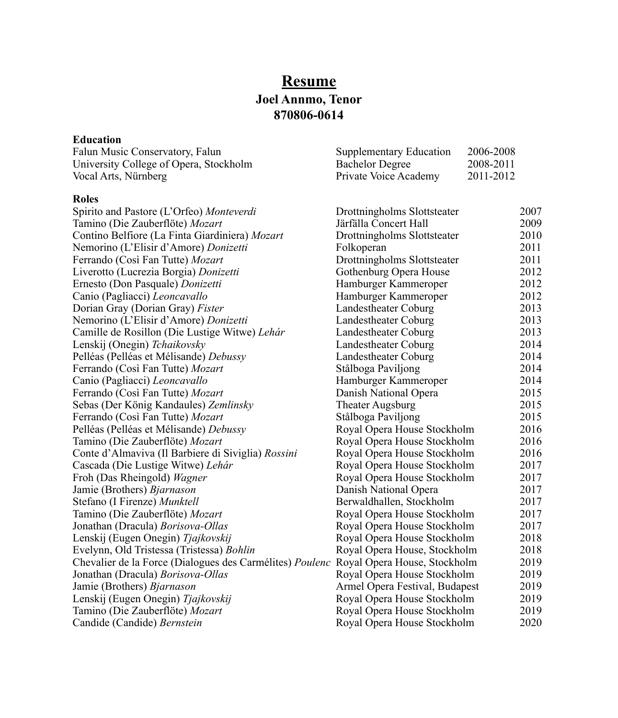# **Resume Joel Annmo, Tenor 870806-0614**

## **Education**

| Falun Music Conservatory, Falun                                                       | Supplementary Education        | 2006-2008 |      |
|---------------------------------------------------------------------------------------|--------------------------------|-----------|------|
| University College of Opera, Stockholm                                                | <b>Bachelor Degree</b>         | 2008-2011 |      |
| Vocal Arts, Nürnberg                                                                  | Private Voice Academy          | 2011-2012 |      |
| <b>Roles</b>                                                                          |                                |           |      |
| Spirito and Pastore (L'Orfeo) Monteverdi                                              | Drottningholms Slottsteater    |           | 2007 |
| Tamino (Die Zauberflöte) Mozart                                                       | Järfälla Concert Hall          |           | 2009 |
| Contino Belfiore (La Finta Giardiniera) Mozart                                        | Drottningholms Slottsteater    |           | 2010 |
| Nemorino (L'Elisir d'Amore) Donizetti                                                 | Folkoperan                     |           | 2011 |
| Ferrando (Così Fan Tutte) Mozart                                                      | Drottningholms Slottsteater    |           | 2011 |
| Liverotto (Lucrezia Borgia) Donizetti                                                 | Gothenburg Opera House         |           | 2012 |
| Ernesto (Don Pasquale) Donizetti                                                      | Hamburger Kammeroper           |           | 2012 |
| Canio (Pagliacci) Leoncavallo                                                         | Hamburger Kammeroper           |           | 2012 |
| Dorian Gray (Dorian Gray) Fister                                                      | Landestheater Coburg           |           | 2013 |
| Nemorino (L'Elisir d'Amore) Donizetti                                                 | Landestheater Coburg           |           | 2013 |
| Camille de Rosillon (Die Lustige Witwe) Lehár                                         | Landestheater Coburg           |           | 2013 |
| Lenskij (Onegin) Tchaikovsky                                                          | Landestheater Coburg           |           | 2014 |
| Pelléas (Pelléas et Mélisande) Debussy                                                | Landestheater Coburg           |           | 2014 |
| Ferrando (Così Fan Tutte) Mozart                                                      | Stålboga Paviljong             |           | 2014 |
| Canio (Pagliacci) Leoncavallo                                                         | Hamburger Kammeroper           |           | 2014 |
| Ferrando (Così Fan Tutte) Mozart                                                      | Danish National Opera          |           | 2015 |
| Sebas (Der König Kandaules) Zemlinsky                                                 | <b>Theater Augsburg</b>        |           | 2015 |
| Ferrando (Così Fan Tutte) Mozart                                                      | Stålboga Paviljong             |           | 2015 |
| Pelléas (Pelléas et Mélisande) Debussy                                                | Royal Opera House Stockholm    |           | 2016 |
| Tamino (Die Zauberflöte) Mozart                                                       | Royal Opera House Stockholm    |           | 2016 |
| Conte d'Almaviva (Il Barbiere di Siviglia) Rossini                                    | Royal Opera House Stockholm    |           | 2016 |
| Cascada (Die Lustige Witwe) Lehár                                                     | Royal Opera House Stockholm    |           | 2017 |
| Froh (Das Rheingold) Wagner                                                           | Royal Opera House Stockholm    |           | 2017 |
| Jamie (Brothers) Bjarnason                                                            | Danish National Opera          |           | 2017 |
| Stefano (I Firenze) Munktell                                                          | Berwaldhallen, Stockholm       |           | 2017 |
| Tamino (Die Zauberflöte) Mozart                                                       | Royal Opera House Stockholm    |           | 2017 |
| Jonathan (Dracula) Borisova-Ollas                                                     | Royal Opera House Stockholm    |           | 2017 |
| Lenskij (Eugen Onegin) Tjajkovskij                                                    | Royal Opera House Stockholm    |           | 2018 |
| Evelynn, Old Tristessa (Tristessa) Bohlin                                             | Royal Opera House, Stockholm   |           | 2018 |
| Chevalier de la Force (Dialogues des Carmélites) Poulenc Royal Opera House, Stockholm |                                |           | 2019 |
| Jonathan (Dracula) Borisova-Ollas                                                     | Royal Opera House Stockholm    |           | 2019 |
| Jamie (Brothers) Bjarnason                                                            | Armel Opera Festival, Budapest |           | 2019 |
| Lenskij (Eugen Onegin) Tjajkovskij                                                    | Royal Opera House Stockholm    |           | 2019 |
| Tamino (Die Zauberflöte) Mozart                                                       | Royal Opera House Stockholm    |           | 2019 |
| Candide (Candide) Bernstein                                                           | Royal Opera House Stockholm    |           | 2020 |